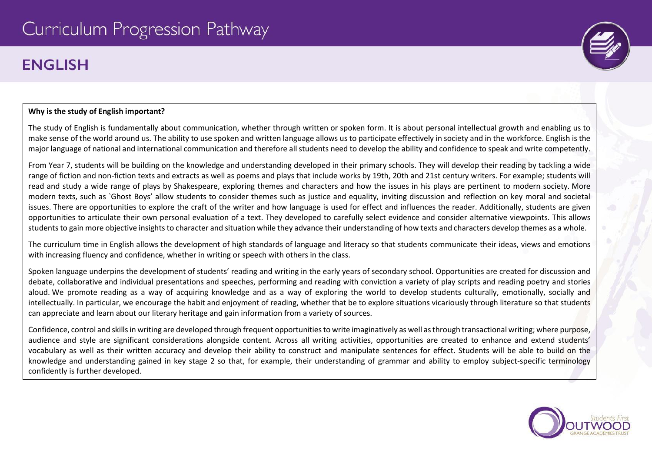# **ENGLISH**

## **Why is the study of English important?**

The study of English is fundamentally about communication, whether through written or spoken form. It is about personal intellectual growth and enabling us to make sense of the world around us. The ability to use spoken and written language allows us to participate effectively in society and in the workforce. English is the major language of national and international communication and therefore all students need to develop the ability and confidence to speak and write competently.

From Year 7, students will be building on the knowledge and understanding developed in their primary schools. They will develop their reading by tackling a wide range of fiction and non-fiction texts and extracts as well as poems and plays that include works by 19th, 20th and 21st century writers. For example; students will read and study a wide range of plays by Shakespeare, exploring themes and characters and how the issues in his plays are pertinent to modern society. More modern texts, such as `Ghost Boys' allow students to consider themes such as justice and equality, inviting discussion and reflection on key moral and societal issues. There are opportunities to explore the craft of the writer and how language is used for effect and influences the reader. Additionally, students are given opportunities to articulate their own personal evaluation of a text. They developed to carefully select evidence and consider alternative viewpoints. This allows students to gain more objective insights to character and situation while they advance their understanding of how texts and characters develop themes as a whole.

The curriculum time in English allows the development of high standards of language and literacy so that students communicate their ideas, views and emotions with increasing fluency and confidence, whether in writing or speech with others in the class.

Spoken language underpins the development of students' reading and writing in the early years of secondary school. Opportunities are created for discussion and debate, collaborative and individual presentations and speeches, performing and reading with conviction a variety of play scripts and reading poetry and stories aloud. We promote reading as a way of acquiring knowledge and as a way of exploring the world to develop students culturally, emotionally, socially and intellectually. In particular, we encourage the habit and enjoyment of reading, whether that be to explore situations vicariously through literature so that students can appreciate and learn about our literary heritage and gain information from a variety of sources.

Confidence, control and skills in writing are developed through frequent opportunities to write imaginatively as well as through transactional writing; where purpose, audience and style are significant considerations alongside content. Across all writing activities, opportunities are created to enhance and extend students' vocabulary as well as their written accuracy and develop their ability to construct and manipulate sentences for effect. Students will be able to build on the knowledge and understanding gained in key stage 2 so that, for example, their understanding of grammar and ability to employ subject-specific terminology confidently is further developed.



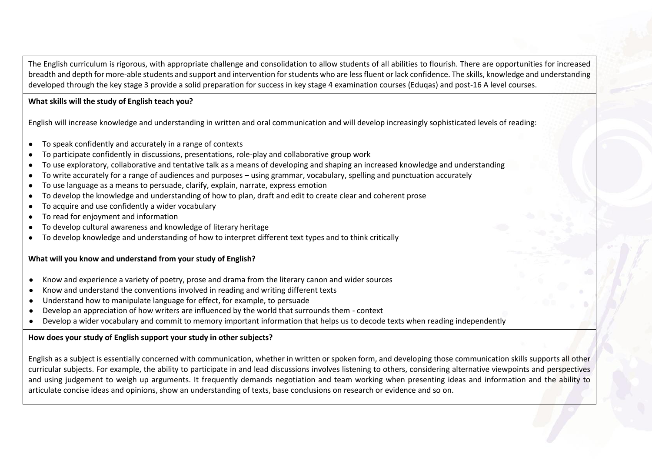The English curriculum is rigorous, with appropriate challenge and consolidation to allow students of all abilities to flourish. There are opportunities for increased breadth and depth for more-able students and support and intervention for students who are less fluent or lack confidence. The skills, knowledge and understanding developed through the key stage 3 provide a solid preparation for success in key stage 4 examination courses (Eduqas) and post-16 A level courses.

## **What skills will the study of English teach you?**

English will increase knowledge and understanding in written and oral communication and will develop increasingly sophisticated levels of reading:

- To speak confidently and accurately in a range of contexts
- To participate confidently in discussions, presentations, role-play and collaborative group work
- To use exploratory, collaborative and tentative talk as a means of developing and shaping an increased knowledge and understanding
- To write accurately for a range of audiences and purposes using grammar, vocabulary, spelling and punctuation accurately
- To use language as a means to persuade, clarify, explain, narrate, express emotion
- To develop the knowledge and understanding of how to plan, draft and edit to create clear and coherent prose
- To acquire and use confidently a wider vocabulary
- To read for enjoyment and information
- To develop cultural awareness and knowledge of literary heritage
- To develop knowledge and understanding of how to interpret different text types and to think critically

## **What will you know and understand from your study of English?**

- Know and experience a variety of poetry, prose and drama from the literary canon and wider sources
- Know and understand the conventions involved in reading and writing different texts
- Understand how to manipulate language for effect, for example, to persuade
- Develop an appreciation of how writers are influenced by the world that surrounds them context
- Develop a wider vocabulary and commit to memory important information that helps us to decode texts when reading independently

## **How does your study of English support your study in other subjects?**

English as a subject is essentially concerned with communication, whether in written or spoken form, and developing those communication skills supports all other curricular subjects. For example, the ability to participate in and lead discussions involves listening to others, considering alternative viewpoints and perspectives and using judgement to weigh up arguments. It frequently demands negotiation and team working when presenting ideas and information and the ability to articulate concise ideas and opinions, show an understanding of texts, base conclusions on research or evidence and so on.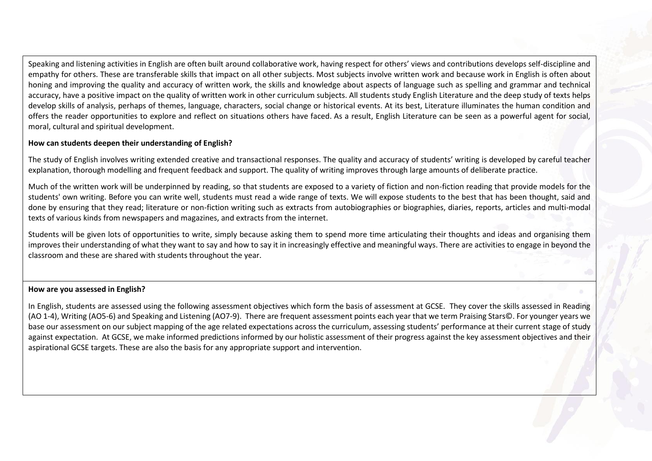Speaking and listening activities in English are often built around collaborative work, having respect for others' views and contributions develops self-discipline and empathy for others. These are transferable skills that impact on all other subjects. Most subjects involve written work and because work in English is often about honing and improving the quality and accuracy of written work, the skills and knowledge about aspects of language such as spelling and grammar and technical accuracy, have a positive impact on the quality of written work in other curriculum subjects. All students study English Literature and the deep study of texts helps develop skills of analysis, perhaps of themes, language, characters, social change or historical events. At its best, Literature illuminates the human condition and offers the reader opportunities to explore and reflect on situations others have faced. As a result, English Literature can be seen as a powerful agent for social, moral, cultural and spiritual development.

## **How can students deepen their understanding of English?**

The study of English involves writing extended creative and transactional responses. The quality and accuracy of students' writing is developed by careful teacher explanation, thorough modelling and frequent feedback and support. The quality of writing improves through large amounts of deliberate practice.

Much of the written work will be underpinned by reading, so that students are exposed to a variety of fiction and non-fiction reading that provide models for the students' own writing. Before you can write well, students must read a wide range of texts. We will expose students to the best that has been thought, said and done by ensuring that they read; literature or non-fiction writing such as extracts from autobiographies or biographies, diaries, reports, articles and multi-modal texts of various kinds from newspapers and magazines, and extracts from the internet.

Students will be given lots of opportunities to write, simply because asking them to spend more time articulating their thoughts and ideas and organising them improves their understanding of what they want to say and how to say it in increasingly effective and meaningful ways. There are activities to engage in beyond the classroom and these are shared with students throughout the year.

#### **How are you assessed in English?**

In English, students are assessed using the following assessment objectives which form the basis of assessment at GCSE. They cover the skills assessed in Reading (AO 1-4), Writing (AO5-6) and Speaking and Listening (AO7-9). There are frequent assessment points each year that we term Praising Stars©. For younger years we base our assessment on our subject mapping of the age related expectations across the curriculum, assessing students' performance at their current stage of study against expectation. At GCSE, we make informed predictions informed by our holistic assessment of their progress against the key assessment objectives and their aspirational GCSE targets. These are also the basis for any appropriate support and intervention.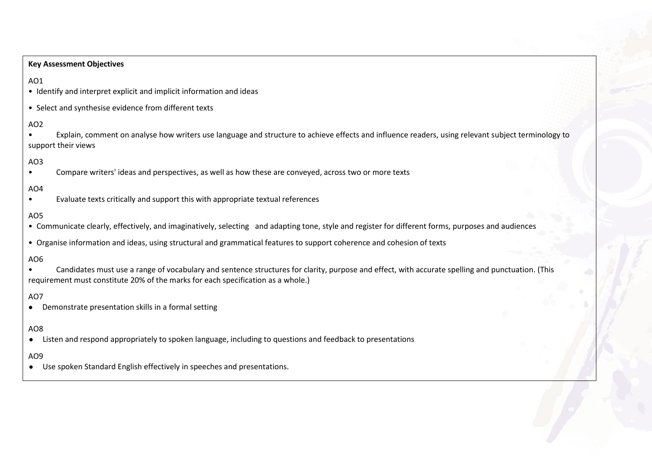#### **Key Assessment Objectives**

## AO1

• Identify and interpret explicit and implicit information and ideas

• Select and synthesise evidence from different texts

## AO2

• Explain, comment on analyse how writers use language and structure to achieve effects and influence readers, using relevant subject terminology to support their views

## AO3

• Compare writers' ideas and perspectives, as well as how these are conveyed, across two or more texts

# AO4

• Evaluate texts critically and support this with appropriate textual references

## AO5

- Communicate clearly, effectively, and imaginatively, selecting and adapting tone, style and register for different forms, purposes and audiences
- Organise information and ideas, using structural and grammatical features to support coherence and cohesion of texts

## AO6

• Candidates must use a range of vocabulary and sentence structures for clarity, purpose and effect, with accurate spelling and punctuation. (This requirement must constitute 20% of the marks for each specification as a whole.)

## AO7

● Demonstrate presentation skills in a formal setting

# AO8

● Listen and respond appropriately to spoken language, including to questions and feedback to presentations

## AO9

● Use spoken Standard English effectively in speeches and presentations.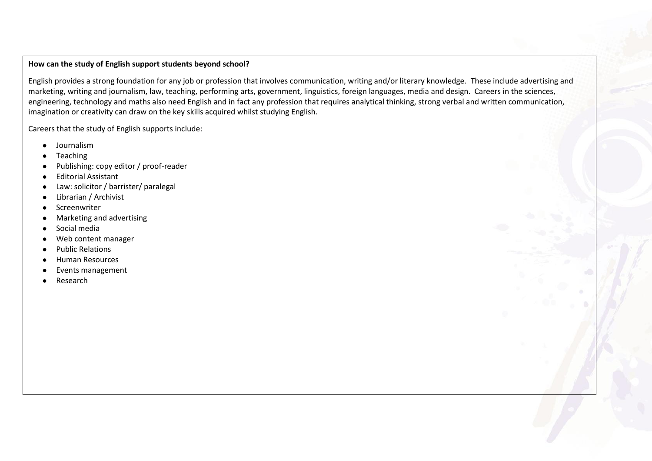#### **How can the study of English support students beyond school?**

English provides a strong foundation for any job or profession that involves communication, writing and/or literary knowledge. These include advertising and marketing, writing and journalism, law, teaching, performing arts, government, linguistics, foreign languages, media and design. Careers in the sciences, engineering, technology and maths also need English and in fact any profession that requires analytical thinking, strong verbal and written communication, imagination or creativity can draw on the key skills acquired whilst studying English.

Careers that the study of English supports include:

- Journalism
- **Teaching**
- Publishing: copy editor / proof-reader
- Editorial Assistant
- Law: solicitor / barrister/ paralegal
- Librarian / Archivist
- Screenwriter
- Marketing and advertising
- Social media
- Web content manager
- Public Relations
- **Human Resources**
- Events management
- Research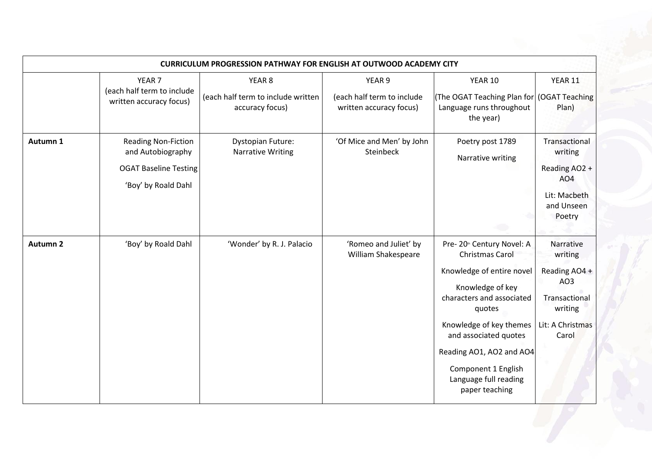| <b>CURRICULUM PROGRESSION PATHWAY FOR ENGLISH AT OUTWOOD ACADEMY CITY</b> |                                                                                                        |                                                       |                                                       |                                                                                                                                                                                                                                                                                               |                                                                                                       |  |
|---------------------------------------------------------------------------|--------------------------------------------------------------------------------------------------------|-------------------------------------------------------|-------------------------------------------------------|-----------------------------------------------------------------------------------------------------------------------------------------------------------------------------------------------------------------------------------------------------------------------------------------------|-------------------------------------------------------------------------------------------------------|--|
|                                                                           | YEAR <sub>7</sub>                                                                                      | YEAR <sub>8</sub>                                     | YEAR 9                                                | YEAR 10                                                                                                                                                                                                                                                                                       | YEAR 11                                                                                               |  |
|                                                                           | (each half term to include<br>written accuracy focus)                                                  | (each half term to include written<br>accuracy focus) | (each half term to include<br>written accuracy focus) | The OGAT Teaching Plan for   (OGAT Teaching<br>Language runs throughout<br>the year)                                                                                                                                                                                                          | Plan)                                                                                                 |  |
| Autumn 1                                                                  | <b>Reading Non-Fiction</b><br>and Autobiography<br><b>OGAT Baseline Testing</b><br>'Boy' by Roald Dahl | <b>Dystopian Future:</b><br><b>Narrative Writing</b>  | 'Of Mice and Men' by John<br>Steinbeck                | Poetry post 1789<br>Narrative writing                                                                                                                                                                                                                                                         | Transactional<br>writing<br>Reading AO2 +<br>AO <sub>4</sub><br>Lit: Macbeth<br>and Unseen<br>Poetry  |  |
| <b>Autumn 2</b>                                                           | 'Boy' by Roald Dahl                                                                                    | 'Wonder' by R. J. Palacio                             | 'Romeo and Juliet' by<br>William Shakespeare          | Pre-20th Century Novel: A<br><b>Christmas Carol</b><br>Knowledge of entire novel<br>Knowledge of key<br>characters and associated<br>quotes<br>Knowledge of key themes<br>and associated quotes<br>Reading AO1, AO2 and AO4<br>Component 1 English<br>Language full reading<br>paper teaching | Narrative<br>writing<br>Reading AO4 +<br>AO3<br>Transactional<br>writing<br>Lit: A Christmas<br>Carol |  |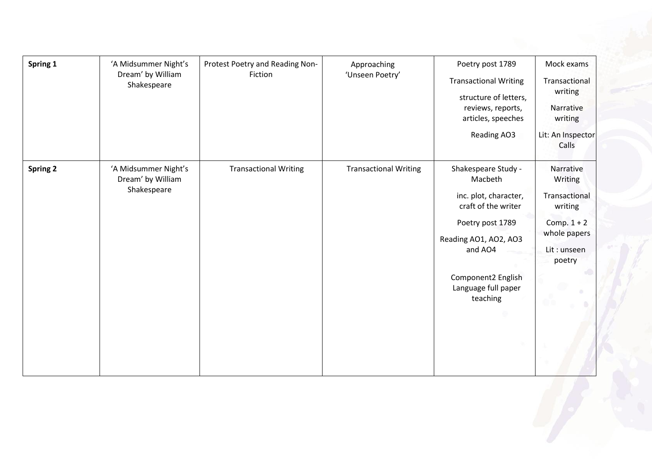| Spring 1        | 'A Midsummer Night's<br>Dream' by William<br>Shakespeare | Protest Poetry and Reading Non-<br>Fiction | Approaching<br>'Unseen Poetry' | Poetry post 1789<br><b>Transactional Writing</b><br>structure of letters,<br>reviews, reports,<br>articles, speeches<br>Reading AO3                                                             | Mock exams<br>Transactional<br>writing<br>Narrative<br>writing<br>Lit: An Inspector<br>Calls               |
|-----------------|----------------------------------------------------------|--------------------------------------------|--------------------------------|-------------------------------------------------------------------------------------------------------------------------------------------------------------------------------------------------|------------------------------------------------------------------------------------------------------------|
| <b>Spring 2</b> | 'A Midsummer Night's<br>Dream' by William<br>Shakespeare | <b>Transactional Writing</b>               | <b>Transactional Writing</b>   | Shakespeare Study -<br>Macbeth<br>inc. plot, character,<br>craft of the writer<br>Poetry post 1789<br>Reading AO1, AO2, AO3<br>and AO4<br>Component2 English<br>Language full paper<br>teaching | Narrative<br>Writing<br>Transactional<br>writing<br>Comp. $1 + 2$<br>whole papers<br>Lit: unseen<br>poetry |